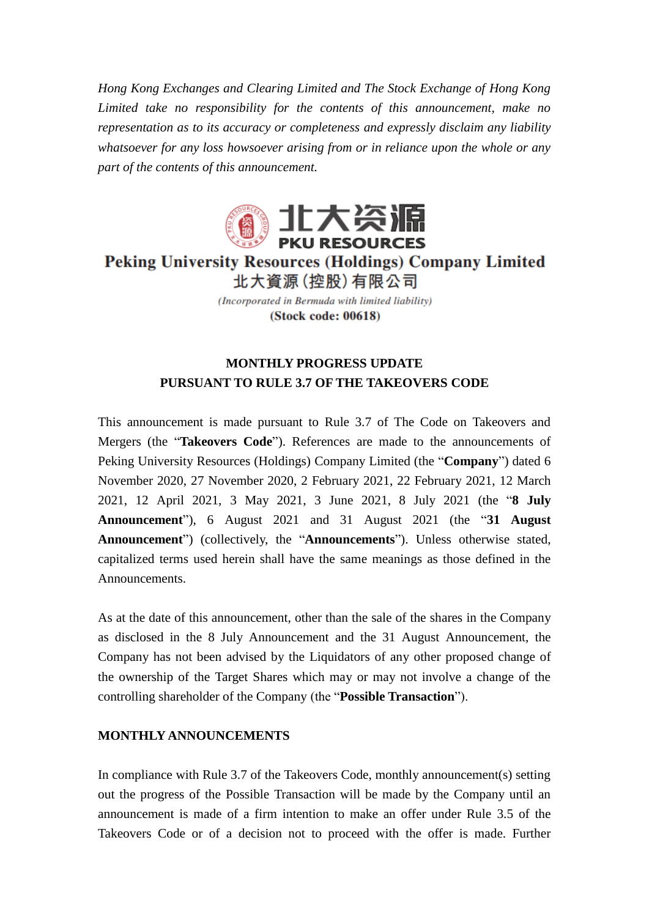*Hong Kong Exchanges and Clearing Limited and The Stock Exchange of Hong Kong Limited take no responsibility for the contents of this announcement, make no representation as to its accuracy or completeness and expressly disclaim any liability whatsoever for any loss howsoever arising from or in reliance upon the whole or any part of the contents of this announcement.*



## **Peking University Resources (Holdings) Company Limited** 北大資源 (控股) 有限公司

(Incorporated in Bermuda with limited liability) (Stock code: 00618)

## **MONTHLY PROGRESS UPDATE PURSUANT TO RULE 3.7 OF THE TAKEOVERS CODE**

This announcement is made pursuant to Rule 3.7 of The Code on Takeovers and Mergers (the "**Takeovers Code**"). References are made to the announcements of Peking University Resources (Holdings) Company Limited (the "**Company**") dated 6 November 2020, 27 November 2020, 2 February 2021, 22 February 2021, 12 March 2021, 12 April 2021, 3 May 2021, 3 June 2021, 8 July 2021 (the "**8 July Announcement**"), 6 August 2021 and 31 August 2021 (the "**31 August Announcement**") (collectively, the "**Announcements**"). Unless otherwise stated, capitalized terms used herein shall have the same meanings as those defined in the Announcements.

As at the date of this announcement, other than the sale of the shares in the Company as disclosed in the 8 July Announcement and the 31 August Announcement, the Company has not been advised by the Liquidators of any other proposed change of the ownership of the Target Shares which may or may not involve a change of the controlling shareholder of the Company (the "**Possible Transaction**").

## **MONTHLY ANNOUNCEMENTS**

In compliance with Rule 3.7 of the Takeovers Code, monthly announcement(s) setting out the progress of the Possible Transaction will be made by the Company until an announcement is made of a firm intention to make an offer under Rule 3.5 of the Takeovers Code or of a decision not to proceed with the offer is made. Further